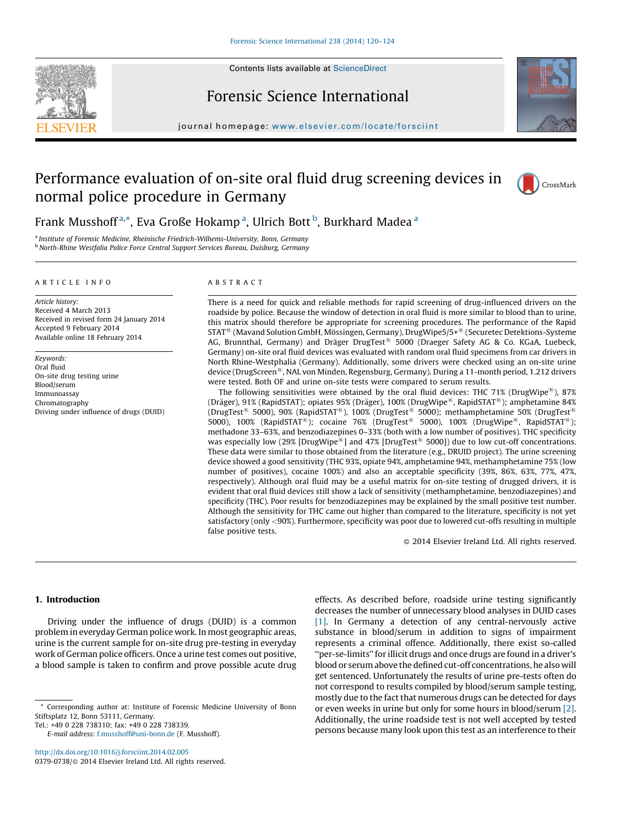

Contents lists available at [ScienceDirect](http://www.sciencedirect.com/science/journal/03790738)

## Forensic Science International



journal homepage: [www.elsevier.com/locate/for](www.elsevier.com/locate/forsciint)sciint

# Performance evaluation of on-site oral fluid drug screening devices in normal police procedure in Germany



## Frank Musshoff<sup>a,\*</sup>, Eva Große Hokamp<sup>a</sup>, Ulrich Bott<sup>b</sup>, Burkhard Madea<sup>a</sup>

<sup>a</sup> Institute of Forensic Medicine, Rheinische Friedrich-Wilhems-University, Bonn, Germany b North-Rhine Westfalia Police Force Central Support Services Bureau, Duisburg, Germany

#### A R T I C L E I N F O

Article history: Received 4 March 2013 Received in revised form 24 January 2014 Accepted 9 February 2014 Available online 18 February 2014

Keywords: Oral fluid On-site drug testing urine Blood/serum Immunoassay Chromatography Driving under influence of drugs (DUID)

#### A B S T R A C T

There is a need for quick and reliable methods for rapid screening of drug-influenced drivers on the roadside by police. Because the window of detection in oral fluid is more similar to blood than to urine, this matrix should therefore be appropriate for screening procedures. The performance of the Rapid STAT<sup>®</sup> (Mavand Solution GmbH, Mössingen, Germany), DrugWipe5/5+<sup>®</sup> (Securetec Detektions-Systeme AG, Brunnthal, Germany) and Dräger DrugTest<sup>®</sup> 5000 (Draeger Safety AG & Co. KGaA, Luebeck, Germany) on-site oral fluid devices was evaluated with random oral fluid specimens from car drivers in North Rhine-Westphalia (Germany). Additionally, some drivers were checked using an on-site urine device (DrugScreen®, NAL von Minden, Regensburg, Germany). During a 11-month period, 1.212 drivers were tested. Both OF and urine on-site tests were compared to serum results.

The following sensitivities were obtained by the oral fluid devices: THC 71% (DrugWipe<sup>®</sup>), 87% (Dräger), 91% (RapidSTAT); opiates 95% (Dräger), 100% (DrugWipe<sup>®</sup>, RapidSTAT<sup>®</sup>); amphetamine 84% (DrugTest<sup>®</sup> 5000), 90% (RapidSTAT<sup>®</sup>), 100% (DrugTest<sup>®</sup> 5000); methamphetamine 50% (DrugTest<sup>®</sup> 5000), 100% (RapidSTAT®); cocaine 76% (DrugTest® 5000), 100% (DrugWipe®, RapidSTAT®); methadone 33–63%, and benzodiazepines 0–33% (both with a low number of positives). THC specificity was especially low (29% [DrugWipe<sup>®</sup>] and 47% [DrugTest<sup>®</sup> 5000]) due to low cut-off concentrations. These data were similar to those obtained from the literature (e.g., DRUID project). The urine screening device showed a good sensitivity (THC 93%, opiate 94%, amphetamine 94%, methamphetamine 75% (low number of positives), cocaine 100%) and also an acceptable specificity (39%, 86%, 63%, 77%, 47%, respectively). Although oral fluid may be a useful matrix for on-site testing of drugged drivers, it is evident that oral fluid devices still show a lack of sensitivity (methamphetamine, benzodiazepines) and specificity (THC). Poor results for benzodiazepines may be explained by the small positive test number. Although the sensitivity for THC came out higher than compared to the literature, specificity is not yet satisfactory (only <90%). Furthermore, specificity was poor due to lowered cut-offs resulting in multiple false positive tests.

- 2014 Elsevier Ireland Ltd. All rights reserved.

## 1. Introduction

Driving under the influence of drugs (DUID) is a common problem in everyday German police work. In most geographic areas, urine is the current sample for on-site drug pre-testing in everyday work of German police officers. Once a urine test comes out positive, a blood sample is taken to confirm and prove possible acute drug

<http://dx.doi.org/10.1016/j.forsciint.2014.02.005> 0379-0738/© 2014 Elsevier Ireland Ltd. All rights reserved. effects. As described before, roadside urine testing significantly decreases the number of unnecessary blood analyses in DUID cases [\[1\]](#page-4-0). In Germany a detection of any central-nervously active substance in blood/serum in addition to signs of impairment represents a criminal offence. Additionally, there exist so-called ''per-se-limits'' for illicit drugs and once drugs are found in a driver's blood or serumabove the defined cut-off concentrations, he also will get sentenced. Unfortunately the results of urine pre-tests often do not correspond to results compiled by blood/serum sample testing, mostly due to the fact that numerous drugs can be detected for days or even weeks in urine but only for some hours in blood/serum [\[2\].](#page-4-0) Additionally, the urine roadside test is not well accepted by tested persons because many look upon this test as an interference to their

<sup>\*</sup> Corresponding author at: Institute of Forensic Medicine University of Bonn Stiftsplatz 12, Bonn 53111, Germany.

Tel.: +49 0 228 738310; fax: +49 0 228 738339.

E-mail address: [f.musshoff@uni-bonn.de](mailto:f.musshoff@uni-bonn.de) (F. Musshoff).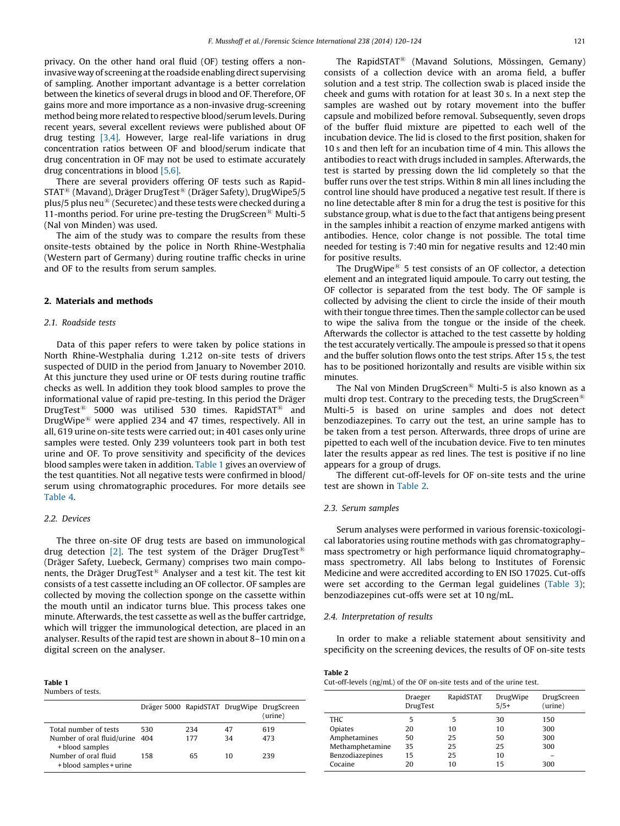privacy. On the other hand oral fluid (OF) testing offers a noninvasive way of screening atthe roadside enabling direct supervising of sampling. Another important advantage is a better correlation between the kinetics of several drugs in blood and OF. Therefore, OF gains more and more importance as a non-invasive drug-screening method being more related to respective blood/serum levels. During recent years, several excellent reviews were published about OF drug testing [\[3,4\].](#page-4-0) However, large real-life variations in drug concentration ratios between OF and blood/serum indicate that drug concentration in OF may not be used to estimate accurately drug concentrations in blood [\[5,6\].](#page-4-0)

There are several providers offering OF tests such as Rapid- $STAT^®$  (Mavand), Dräger DrugTest<sup>®</sup> (Dräger Safety), DrugWipe5/5 plus/5 plus neu $\mathbb{B}$  (Securetec) and these tests were checked during a 11-months period. For urine pre-testing the DrugScreen<sup>®</sup> Multi-5 (Nal von Minden) was used.

The aim of the study was to compare the results from these onsite-tests obtained by the police in North Rhine-Westphalia (Western part of Germany) during routine traffic checks in urine and OF to the results from serum samples.

## 2. Materials and methods

## 2.1. Roadside tests

Data of this paper refers to were taken by police stations in North Rhine-Westphalia during 1.212 on-site tests of drivers suspected of DUID in the period from January to November 2010. At this juncture they used urine or OF tests during routine traffic checks as well. In addition they took blood samples to prove the informational value of rapid pre-testing. In this period the Dräger DrugTest<sup>®</sup> 5000 was utilised 530 times. RapidSTAT<sup>®</sup> and DrugWipe $\mathbb{R}$  were applied 234 and 47 times, respectively. All in all, 619 urine on-site tests were carried out; in 401 cases only urine samples were tested. Only 239 volunteers took part in both test urine and OF. To prove sensitivity and specificity of the devices blood samples were taken in addition. Table 1 gives an overview of the test quantities. Not all negative tests were confirmed in blood/ serum using chromatographic procedures. For more details see [Table](#page-2-0) 4.

#### 2.2. Devices

The three on-site OF drug tests are based on immunological drug detection [\[2\].](#page-4-0) The test system of the Dräger DrugTest<sup>®</sup> (Dräger Safety, Luebeck, Germany) comprises two main components, the Dräger DrugTest<sup>®</sup> Analyser and a test kit. The test kit consists of a test cassette including an OF collector. OF samples are collected by moving the collection sponge on the cassette within the mouth until an indicator turns blue. This process takes one minute. Afterwards, the test cassette as well as the buffer cartridge, which will trigger the immunological detection, are placed in an analyser. Results of the rapid test are shown in about 8-10 min on a digital screen on the analyser.

## Table 1

Numbers of tests.

|                                                                            | Dräger 5000 RapidSTAT DrugWipe DrugScreen |            |          | (urine)    |
|----------------------------------------------------------------------------|-------------------------------------------|------------|----------|------------|
| Total number of tests<br>Number of oral fluid/urine 404<br>+ blood samples | 530                                       | 234<br>177 | 47<br>34 | 619<br>473 |
| Number of oral fluid<br>+ blood samples + urine                            | 158                                       | 65         | 10       | 239        |

The RapidSTAT<sup>®</sup> (Mavand Solutions, Mössingen, Gemany) consists of a collection device with an aroma field, a buffer solution and a test strip. The collection swab is placed inside the cheek and gums with rotation for at least 30 s. In a next step the samples are washed out by rotary movement into the buffer capsule and mobilized before removal. Subsequently, seven drops of the buffer fluid mixture are pipetted to each well of the incubation device. The lid is closed to the first position, shaken for 10 s and then left for an incubation time of 4 min. This allows the antibodies to react with drugs included in samples. Afterwards, the test is started by pressing down the lid completely so that the buffer runs over the test strips. Within 8 min all lines including the control line should have produced a negative test result. If there is no line detectable after 8 min for a drug the test is positive for this substance group, what is due to the fact that antigens being present in the samples inhibit a reaction of enzyme marked antigens with antibodies. Hence, color change is not possible. The total time needed for testing is 7:40 min for negative results and 12:40 min for positive results.

The DrugWipe $^{(8)}$  5 test consists of an OF collector, a detection element and an integrated liquid ampoule. To carry out testing, the OF collector is separated from the test body. The OF sample is collected by advising the client to circle the inside of their mouth with their tongue three times. Then the sample collector can be used to wipe the saliva from the tongue or the inside of the cheek. Afterwards the collector is attached to the test cassette by holding the test accurately vertically. The ampoule is pressed so that it opens and the buffer solution flows onto the test strips. After 15 s, the test has to be positioned horizontally and results are visible within six minutes.

The Nal von Minden DrugScreen<sup>®</sup> Multi-5 is also known as a multi drop test. Contrary to the preceding tests, the DrugScreen<sup>®</sup> Multi-5 is based on urine samples and does not detect benzodiazepines. To carry out the test, an urine sample has to be taken from a test person. Afterwards, three drops of urine are pipetted to each well of the incubation device. Five to ten minutes later the results appear as red lines. The test is positive if no line appears for a group of drugs.

The different cut-off-levels for OF on-site tests and the urine test are shown in Table 2.

#### 2.3. Serum samples

Serum analyses were performed in various forensic-toxicological laboratories using routine methods with gas chromatography– mass spectrometry or high performance liquid chromatography– mass spectrometry. All labs belong to Institutes of Forensic Medicine and were accredited according to EN ISO 17025. Cut-offs were set according to the German legal guidelines ([Table](#page-2-0) 3); benzodiazepines cut-offs were set at 10 ng/mL.

## 2.4. Interpretation of results

In order to make a reliable statement about sensitivity and specificity on the screening devices, the results of OF on-site tests

#### Table 2

Cut-off-levels (ng/mL) of the OF on-site tests and of the urine test.

|                 | Draeger<br>DrugTest | RapidSTAT | DrugWipe<br>$5/5+$ | DrugScreen<br>(urine) |
|-----------------|---------------------|-----------|--------------------|-----------------------|
| <b>THC</b>      | 5                   | 5         | 30                 | 150                   |
| Opiates         | 20                  | 10        | 10                 | 300                   |
| Amphetamines    | 50                  | 25        | 50                 | 300                   |
| Methamphetamine | 35                  | 25        | 25                 | 300                   |
| Benzodiazepines | 15                  | 25        | 10                 |                       |
| Cocaine         | 20                  | 10        | 15                 | 300                   |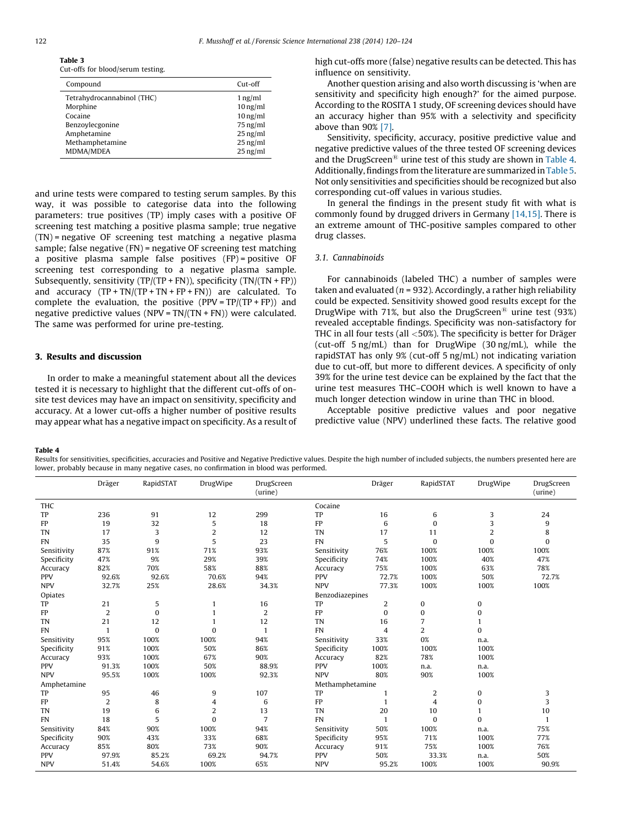Cut-offs for blood/serum testing.

<span id="page-2-0"></span>Table 3

| Compound                   | Cut-off    |
|----------------------------|------------|
| Tetrahydrocannabinol (THC) | $1$ ng/ml  |
| Morphine                   | $10$ ng/ml |
| Cocaine                    | $10$ ng/ml |
| Benzoylecgonine            | $75$ ng/ml |
| Amphetamine                | $25$ ng/ml |
| Methamphetamine            | $25$ ng/ml |
| MDMA/MDEA                  | $25$ ng/ml |

and urine tests were compared to testing serum samples. By this way, it was possible to categorise data into the following parameters: true positives (TP) imply cases with a positive OF screening test matching a positive plasma sample; true negative (TN) = negative OF screening test matching a negative plasma sample; false negative (FN) = negative OF screening test matching a positive plasma sample false positives (FP) = positive OF screening test corresponding to a negative plasma sample. Subsequently, sensitivity  $(TP/(TP + FN))$ , specificity  $(TN/(TN + FP))$ and accuracy  $(TP + TN/(TP + TN + FP + FN))$  are calculated. To complete the evaluation, the positive (PPV =  $TP/(TP + FP)$ ) and negative predictive values (NPV = TN/(TN + FN)) were calculated. The same was performed for urine pre-testing.

## 3. Results and discussion

In order to make a meaningful statement about all the devices tested it is necessary to highlight that the different cut-offs of onsite test devices may have an impact on sensitivity, specificity and accuracy. At a lower cut-offs a higher number of positive results may appear what has a negative impact on specificity. As a result of high cut-offs more (false) negative results can be detected. This has influence on sensitivity.

Another question arising and also worth discussing is 'when are sensitivity and specificity high enough?' for the aimed purpose. According to the ROSITA 1 study, OF screening devices should have an accuracy higher than 95% with a selectivity and specificity above than 90% [\[7\].](#page-4-0)

Sensitivity, specificity, accuracy, positive predictive value and negative predictive values of the three tested OF screening devices and the DrugScreen<sup>®</sup> urine test of this study are shown in Table 4. Additionally, findings from the literature are summarized in [Table](#page-3-0) 5. Not only sensitivities and specificities should be recognized but also corresponding cut-off values in various studies.

In general the findings in the present study fit with what is commonly found by drugged drivers in Germany [\[14,15\]](#page-4-0). There is an extreme amount of THC-positive samples compared to other drug classes.

## 3.1. Cannabinoids

For cannabinoids (labeled THC) a number of samples were taken and evaluated ( $n = 932$ ). Accordingly, a rather high reliability could be expected. Sensitivity showed good results except for the DrugWipe with 71%, but also the DrugScreen<sup>®</sup> urine test (93%) revealed acceptable findings. Specificity was non-satisfactory for THC in all four tests (all  $<$  50%). The specificity is better for Dräger (cut-off 5 ng/mL) than for DrugWipe (30 ng/mL), while the rapidSTAT has only 9% (cut-off 5 ng/mL) not indicating variation due to cut-off, but more to different devices. A specificity of only 39% for the urine test device can be explained by the fact that the urine test measures THC–COOH which is well known to have a much longer detection window in urine than THC in blood.

Acceptable positive predictive values and poor negative predictive value (NPV) underlined these facts. The relative good

#### Table 4

Results for sensitivities, specificities, accuracies and Positive and Negative Predictive values. Despite the high number of included subjects, the numbers presented here are lower, probably because in many negative cases, no confirmation in blood was performed.

|             | Dräger         | RapidSTAT    | DrugWipe       | DrugScreen<br>(urine) |                 | Dräger       | RapidSTAT      | DrugWipe       | DrugScreen<br>(urine) |
|-------------|----------------|--------------|----------------|-----------------------|-----------------|--------------|----------------|----------------|-----------------------|
| THC         |                |              |                |                       | Cocaine         |              |                |                |                       |
| TP          | 236            | 91           | 12             | 299                   | TP              | 16           | 6              | 3              | 24                    |
| FP          | 19             | 32           | 5              | 18                    | FP              | 6            | $\Omega$       | 3              | 9                     |
| <b>TN</b>   | 17             | 3            | $\overline{2}$ | 12                    | <b>TN</b>       | 17           | 11             | $\overline{2}$ | 8                     |
| <b>FN</b>   | 35             | 9            | 5              | 23                    | <b>FN</b>       | 5            | $\bf{0}$       | $\Omega$       | $\Omega$              |
| Sensitivity | 87%            | 91%          | 71%            | 93%                   | Sensitivity     | 76%          | 100%           | 100%           | 100%                  |
| Specificity | 47%            | 9%           | 29%            | 39%                   | Specificity     | 74%          | 100%           | 40%            | 47%                   |
| Accuracy    | 82%            | 70%          | 58%            | 88%                   | Accuracy        | 75%          | 100%           | 63%            | 78%                   |
| <b>PPV</b>  | 92.6%          | 92.6%        | 70.6%          | 94%                   | PPV             | 72.7%        | 100%           | 50%            | 72.7%                 |
| <b>NPV</b>  | 32.7%          | 25%          | 28.6%          | 34.3%                 | <b>NPV</b>      | 77.3%        | 100%           | 100%           | 100%                  |
| Opiates     |                |              |                |                       | Benzodiazepines |              |                |                |                       |
| TP          | 21             | 5            | 1              | 16                    | TP              | 2            | 0              | 0              |                       |
| FP          | $\overline{2}$ | $\mathbf{0}$ |                | 2                     | FP              | $\mathbf{0}$ | 0              | $\mathbf{0}$   |                       |
| <b>TN</b>   | 21             | 12           |                | 12                    | <b>TN</b>       | 16           | 7              |                |                       |
| <b>FN</b>   | $\mathbf{1}$   | $\mathbf{0}$ | $\bf{0}$       | $\mathbf{1}$          | <b>FN</b>       | 4            | $\overline{2}$ | $\mathbf{0}$   |                       |
| Sensitivity | 95%            | 100%         | 100%           | 94%                   | Sensitivity     | 33%          | 0%             | n.a.           |                       |
| Specificity | 91%            | 100%         | 50%            | 86%                   | Specificity     | 100%         | 100%           | 100%           |                       |
| Accuracy    | 93%            | 100%         | 67%            | 90%                   | Accuracy        | 82%          | 78%            | 100%           |                       |
| <b>PPV</b>  | 91.3%          | 100%         | 50%            | 88.9%                 | <b>PPV</b>      | 100%         | n.a.           | n.a.           |                       |
| <b>NPV</b>  | 95.5%          | 100%         | 100%           | 92.3%                 | <b>NPV</b>      | 80%          | 90%            | 100%           |                       |
| Amphetamine |                |              |                |                       | Methamphetamine |              |                |                |                       |
| TP          | 95             | 46           | 9              | 107                   | TP              |              | $\overline{2}$ | 0              | 3                     |
| FP          | $\overline{2}$ | 8            | 4              | 6                     | FP              | $\mathbf{1}$ | $\overline{4}$ | 0              | 3                     |
| TN          | 19             | 6            | 2              | 13                    | <b>TN</b>       | 20           | 10             |                | 10                    |
| <b>FN</b>   | 18             | 5            | $\theta$       | 7                     | <b>FN</b>       |              | $\bf{0}$       | $\Omega$       |                       |
| Sensitivity | 84%            | 90%          | 100%           | 94%                   | Sensitivity     | 50%          | 100%           | n.a.           | 75%                   |
| Specificity | 90%            | 43%          | 33%            | 68%                   | Specificity     | 95%          | 71%            | 100%           | 77%                   |
| Accuracy    | 85%            | 80%          | 73%            | 90%                   | Accuracy        | 91%          | 75%            | 100%           | 76%                   |
| <b>PPV</b>  | 97.9%          | 85.2%        | 69.2%          | 94.7%                 | <b>PPV</b>      | 50%          | 33.3%          | n.a.           | 50%                   |
| <b>NPV</b>  | 51.4%          | 54.6%        | 100%           | 65%                   | <b>NPV</b>      | 95.2%        | 100%           | 100%           | 90.9%                 |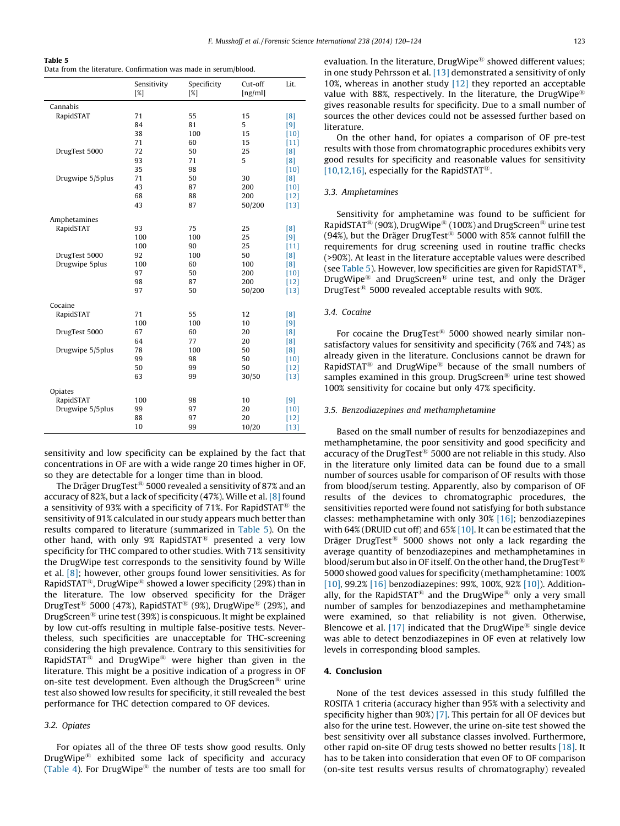<span id="page-3-0"></span>

|--|--|

Data from the literature. Confirmation was made in serum/blood.

|                  | Sensitivity<br>[%] | Specificity<br>$\lceil 2 \rceil$ | Cut-off<br>[ng/ml] | Lit.   |
|------------------|--------------------|----------------------------------|--------------------|--------|
| Cannabis         |                    |                                  |                    |        |
| RapidSTAT        | 71                 | 55                               | 15                 | [8]    |
|                  | 84                 | 81                               | 5                  | [9]    |
|                  | 38                 | 100                              | 15                 | $[10]$ |
|                  | 71                 | 60                               | 15                 | $[11]$ |
| DrugTest 5000    | 72                 | 50                               | 25                 | [8]    |
|                  | 93                 | 71                               | 5                  | [8]    |
|                  | 35                 | 98                               |                    | $[10]$ |
| Drugwipe 5/5plus | 71                 | 50                               | 30                 | [8]    |
|                  | 43                 | 87                               | 200                | $[10]$ |
|                  | 68                 | 88                               | 200                | $[12]$ |
|                  | 43                 | 87                               | 50/200             | $[13]$ |
| Amphetamines     |                    |                                  |                    |        |
| RapidSTAT        | 93                 | 75                               | 25                 | [8]    |
|                  | 100                | 100                              | 25                 | [9]    |
|                  | 100                | 90                               | 25                 | $[11]$ |
| DrugTest 5000    | 92                 | 100                              | 50                 | [8]    |
| Drugwipe 5plus   | 100                | 60                               | 100                | [8]    |
|                  | 97                 | 50                               | 200                | $[10]$ |
|                  | 98                 | 87                               | 200                | $[12]$ |
|                  | 97                 | 50                               | 50/200             | $[13]$ |
| Cocaine          |                    |                                  |                    |        |
| RapidSTAT        | 71                 | 55                               | 12                 | [8]    |
|                  | 100                | 100                              | 10                 | [9]    |
| DrugTest 5000    | 67                 | 60                               | 20                 | [8]    |
|                  | 64                 | 77                               | 20                 | [8]    |
| Drugwipe 5/5plus | 78                 | 100                              | 50                 | [8]    |
|                  | 99                 | 98                               | 50                 | $[10]$ |
|                  | 50                 | 99                               | 50                 | $[12]$ |
|                  | 63                 | 99                               | 30/50              | $[13]$ |
| Opiates          |                    |                                  |                    |        |
| RapidSTAT        | 100                | 98                               | 10                 | [9]    |
| Drugwipe 5/5plus | 99                 | 97                               | 20                 | $[10]$ |
|                  | 88                 | 97                               | 20                 | $[12]$ |
|                  | 10                 | 99                               | 10/20              | $[13]$ |

sensitivity and low specificity can be explained by the fact that concentrations in OF are with a wide range 20 times higher in OF, so they are detectable for a longer time than in blood.

The Dräger DrugTest<sup>®</sup> 5000 revealed a sensitivity of 87% and an accuracy of 82%, but a lack of specificity (47%). Wille et al. [\[8\]](#page-4-0) found a sensitivity of 93% with a specificity of 71%. For RapidSTAT<sup>®</sup> the sensitivity of 91% calculated in our study appears much better than results compared to literature (summarized in Table 5). On the other hand, with only 9% RapidSTAT<sup>®</sup> presented a very low specificity for THC compared to other studies. With 71% sensitivity the DrugWipe test corresponds to the sensitivity found by Wille et al. [\[8\]](#page-4-0); however, other groups found lower sensitivities. As for RapidSTAT<sup>®</sup>, DrugWipe<sup>®</sup> showed a lower specificity (29%) than in the literature. The low observed specificity for the Dräger DrugTest<sup>®</sup> 5000 (47%), RapidSTAT<sup>®</sup> (9%), DrugWipe<sup>®</sup> (29%), and DrugScreen<sup>®</sup> urine test (39%) is conspicuous. It might be explained by low cut-offs resulting in multiple false-positive tests. Nevertheless, such specificities are unacceptable for THC-screening considering the high prevalence. Contrary to this sensitivities for RapidSTAT<sup>®</sup> and DrugWipe<sup>®</sup> were higher than given in the literature. This might be a positive indication of a progress in OF on-site test development. Even although the DrugScreen<sup>®</sup> urine test also showed low results for specificity, it still revealed the best performance for THC detection compared to OF devices.

## 3.2. Opiates

For opiates all of the three OF tests show good results. Only DrugWipe ${}^{\circledR}$  exhibited some lack of specificity and accuracy ([Table](#page-2-0) 4). For DrugWipe $^{\circledR}$  the number of tests are too small for evaluation. In the literature, DrugWipe $\mathcal{B}$  showed different values; in one study Pehrsson et al. [\[13\]](#page-4-0) demonstrated a sensitivity of only 10%, whereas in another study <a>[\[12\]](#page-4-0)</a> they reported an acceptable value with 88%, respectively. In the literature, the DrugWipe<sup>®</sup> gives reasonable results for specificity. Due to a small number of sources the other devices could not be assessed further based on literature.

On the other hand, for opiates a comparison of OF pre-test results with those from chromatographic procedures exhibits very good results for specificity and reasonable values for sensitivity [\[10,12,16\]](#page-4-0), especially for the RapidSTAT<sup>®</sup>.

## 3.3. Amphetamines

Sensitivity for amphetamine was found to be sufficient for RapidSTAT<sup>®</sup> (90%), DrugWipe<sup>®</sup> (100%) and DrugScreen<sup>®</sup> urine test (94%), but the Dräger DrugTest<sup>®</sup> 5000 with 85% cannot fulfill the requirements for drug screening used in routine traffic checks (>90%). At least in the literature acceptable values were described (see Table 5). However, low specificities are given for RapidSTAT<sup>®</sup>, DrugWipe<sup>®</sup> and DrugScreen<sup>®</sup> urine test, and only the Dräger DrugTest $^{\circledR}$  5000 revealed acceptable results with 90%.

## 3.4. Cocaine

For cocaine the DrugTest<sup>®</sup> 5000 showed nearly similar nonsatisfactory values for sensitivity and specificity (76% and 74%) as already given in the literature. Conclusions cannot be drawn for RapidSTAT<sup>®</sup> and DrugWipe<sup>®</sup> because of the small numbers of samples examined in this group. DrugScreen<sup>®</sup> urine test showed 100% sensitivity for cocaine but only 47% specificity.

#### 3.5. Benzodiazepines and methamphetamine

Based on the small number of results for benzodiazepines and methamphetamine, the poor sensitivity and good specificity and accuracy of the DrugTest<sup>®</sup> 5000 are not reliable in this study. Also in the literature only limited data can be found due to a small number of sources usable for comparison of OF results with those from blood/serum testing. Apparently, also by comparison of OF results of the devices to chromatographic procedures, the sensitivities reported were found not satisfying for both substance classes: methamphetamine with only 30% [\[16\]](#page-4-0); benzodiazepines with 64% (DRUID cut off) and 65% [\[10\].](#page-4-0) It can be estimated that the Dräger DrugTest<sup>®</sup> 5000 shows not only a lack regarding the average quantity of benzodiazepines and methamphetamines in blood/serum but also in OF itself. On the other hand, the DrugTest<sup>®</sup> 5000 showed good values for specificity (methamphetamine: 100% [\[10\]](#page-4-0), 99.2% [\[16\]](#page-4-0) benzodiazepines: 99%, 100%, 92% [\[10\]\)](#page-4-0). Additionally, for the RapidSTAT<sup>®</sup> and the DrugWipe<sup>®</sup> only a very small number of samples for benzodiazepines and methamphetamine were examined, so that reliability is not given. Otherwise, Blencowe et al. [\[17\]](#page-4-0) indicated that the DrugWipe<sup>®</sup> single device was able to detect benzodiazepines in OF even at relatively low levels in corresponding blood samples.

## 4. Conclusion

None of the test devices assessed in this study fulfilled the ROSITA 1 criteria (accuracy higher than 95% with a selectivity and specificity higher than 90%) [\[7\].](#page-4-0) This pertain for all OF devices but also for the urine test. However, the urine on-site test showed the best sensitivity over all substance classes involved. Furthermore, other rapid on-site OF drug tests showed no better results [\[18\]](#page-4-0). It has to be taken into consideration that even OF to OF comparison (on-site test results versus results of chromatography) revealed